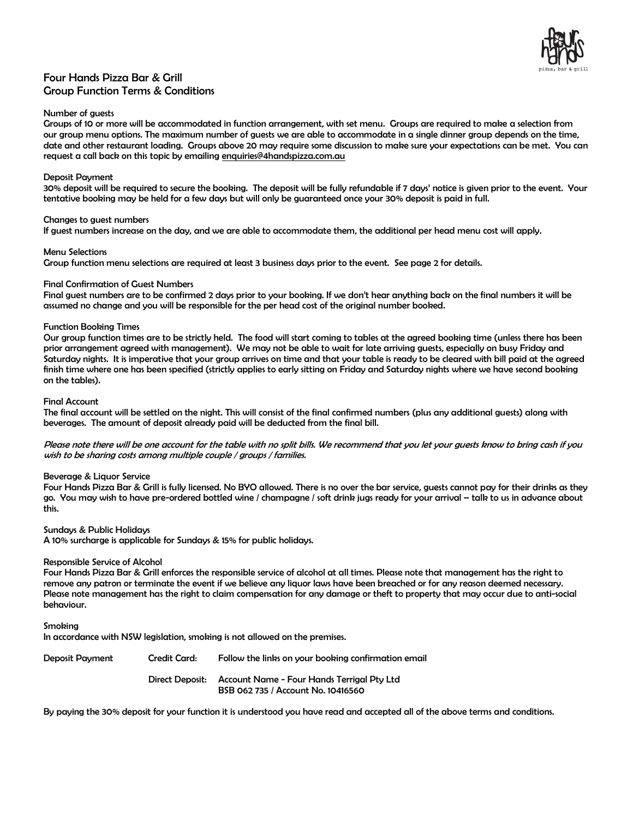

## Four Hands Pizza Bar & Grill Group Function Terms & Conditions

#### Number of guests

Groups of 10 or more will be accommodated in function arrangement, with set menu. Groups are required to make a selection from our group menu options. The maximum number of guests we are able to accommodate in a single dinner group depends on the time, date and other restaurant loading. Groups above 20 may require some discussion to make sure your expectations can be met. You can request a call back on this topic by emailing enquiries@4handspizza.com.au

#### Deposit Payment

30% deposit will be required to secure the booking. The deposit will be fully refundable if 7 days' notice is given prior to the event. Your tentative booking may be held for a few days but will only be guaranteed once your 30% deposit is paid in full.

#### Changes to guest numbers

If guest numbers increase on the day, and we are able to accommodate them, the additional per head menu cost will apply.

#### Menu Selections

Group function menu selections are required at least 3 business days prior to the event. See page 2 for details.

#### Final Confirmation of Guest Numbers

Final guest numbers are to be confirmed 2 days prior to your booking. If we don't hear anything back on the final numbers it will be assumed no change and you will be responsible for the per head cost of the original number booked.

## Function Booking Times

Our group function times are to be strictly held. The food will start coming to tables at the agreed booking time (unless there has been prior arrangement agreed with management). We may not be able to wait for late arriving guests, especially on busy Friday and Saturday nights. It is imperative that your group arrives on time and that your table is ready to be cleared with bill paid at the agreed finish time where one has been specified (strictly applies to early sitting on Friday and Saturday nights where we have second booking on the tables).

#### Final Account

The final account will be settled on the night. This will consist of the final confirmed numbers (plus any additional guests) along with beverages. The amount of deposit already paid will be deducted from the final bill.

Please note there will be one account for the table with no split bills. We recommend that you let your guests know to bring cash if you wish to be sharing costs among multiple couple / groups / families.

## Beverage & Liquor Service

Four Hands Pizza Bar & Grill is fully licensed. No BYO allowed. There is no over the bar service, guests cannot pay for their drinks as they go. You may wish to have pre-ordered bottled wine / champagne / soft drink jugs ready for your arrival – talk to us in advance about this.

## Sundays & Public Holidays

A 10% surcharge is applicable for Sundays & 15% for public holidays.

#### Responsible Service of Alcohol

Four Hands Pizza Bar & Grill enforces the responsible service of alcohol at all times. Please note that management has the right to remove any patron or terminate the event if we believe any liquor laws have been breached or for any reason deemed necessary. Please note management has the right to claim compensation for any damage or theft to property that may occur due to anti-social behaviour.

Smoking

In accordance with NSW legislation, smoking is not allowed on the premises.

Deposit Payment Credit Card: Follow the links on your booking confirmation email Direct Deposit: Account Name - Four Hands Terrigal Pty Ltd BSB 062 735 / Account No. 10416560

By paying the 30% deposit for your function it is understood you have read and accepted all of the above terms and conditions.